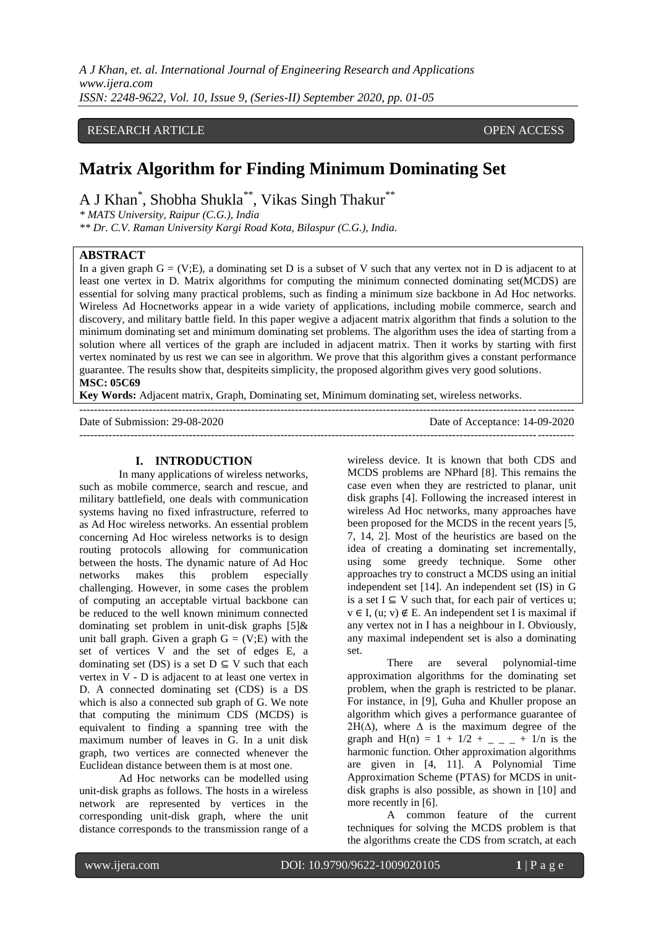*A J Khan, et. al. International Journal of Engineering Research and Applications www.ijera.com ISSN: 2248-9622, Vol. 10, Issue 9, (Series-II) September 2020, pp. 01-05*

## RESEARCH ARTICLE **CONSERVERS** OPEN ACCESS

# **Matrix Algorithm for Finding Minimum Dominating Set**

A J Khan<sup>\*</sup>, Shobha Shukla<sup>\*\*</sup>, Vikas Singh Thakur<sup>\*\*</sup>

*\* MATS University, Raipur (C.G.), India*

*\*\* Dr. C.V. Raman University Kargi Road Kota, Bilaspur (C.G.), India.* 

## **ABSTRACT**

In a given graph  $G = (V;E)$ , a dominating set D is a subset of V such that any vertex not in D is adjacent to at least one vertex in D. Matrix algorithms for computing the minimum connected dominating set(MCDS) are essential for solving many practical problems, such as finding a minimum size backbone in Ad Hoc networks. Wireless Ad Hocnetworks appear in a wide variety of applications, including mobile commerce, search and discovery, and military battle field. In this paper wegive a adjacent matrix algorithm that finds a solution to the minimum dominating set and minimum dominating set problems. The algorithm uses the idea of starting from a solution where all vertices of the graph are included in adjacent matrix. Then it works by starting with first vertex nominated by us rest we can see in algorithm. We prove that this algorithm gives a constant performance guarantee. The results show that, despiteits simplicity, the proposed algorithm gives very good solutions. **MSC: 05C69** 

**Key Words:** Adjacent matrix, Graph, Dominating set, Minimum dominating set, wireless networks.

| Date of Submission: 29-08-2020 | Date of Acceptance: 14-09-2020 |
|--------------------------------|--------------------------------|
|                                |                                |

#### **I. INTRODUCTION**

In many applications of wireless networks, such as mobile commerce, search and rescue, and military battlefield, one deals with communication systems having no fixed infrastructure, referred to as Ad Hoc wireless networks. An essential problem concerning Ad Hoc wireless networks is to design routing protocols allowing for communication between the hosts. The dynamic nature of Ad Hoc networks makes this problem especially challenging. However, in some cases the problem of computing an acceptable virtual backbone can be reduced to the well known minimum connected dominating set problem in unit-disk graphs [5]& unit ball graph. Given a graph  $G = (V;E)$  with the set of vertices V and the set of edges E, a dominating set (DS) is a set  $D \subseteq V$  such that each vertex in V - D is adjacent to at least one vertex in D. A connected dominating set (CDS) is a DS which is also a connected sub graph of G. We note that computing the minimum CDS (MCDS) is equivalent to finding a spanning tree with the maximum number of leaves in G. In a unit disk graph, two vertices are connected whenever the Euclidean distance between them is at most one.

Ad Hoc networks can be modelled using unit-disk graphs as follows. The hosts in a wireless network are represented by vertices in the corresponding unit-disk graph, where the unit distance corresponds to the transmission range of a wireless device. It is known that both CDS and MCDS problems are NPhard [8]. This remains the case even when they are restricted to planar, unit disk graphs [4]. Following the increased interest in wireless Ad Hoc networks, many approaches have been proposed for the MCDS in the recent years [5, 7, 14, 2]. Most of the heuristics are based on the idea of creating a dominating set incrementally, using some greedy technique. Some other approaches try to construct a MCDS using an initial independent set [14]. An independent set (IS) in G is a set  $I \subseteq V$  such that, for each pair of vertices u;  $v \in I$ , (u; v)  $\notin$  E. An independent set I is maximal if any vertex not in I has a neighbour in I. Obviously, any maximal independent set is also a dominating set.

There are several polynomial-time approximation algorithms for the dominating set problem, when the graph is restricted to be planar. For instance, in [9], Guha and Khuller propose an algorithm which gives a performance guarantee of  $2H(\Delta)$ , where  $\Delta$  is the maximum degree of the graph and H(n) =  $1 + 1/2 + \_ - \_ + 1/n$  is the harmonic function. Other approximation algorithms are given in [4, 11]. A Polynomial Time Approximation Scheme (PTAS) for MCDS in unitdisk graphs is also possible, as shown in [10] and more recently in [6].

A common feature of the current techniques for solving the MCDS problem is that the algorithms create the CDS from scratch, at each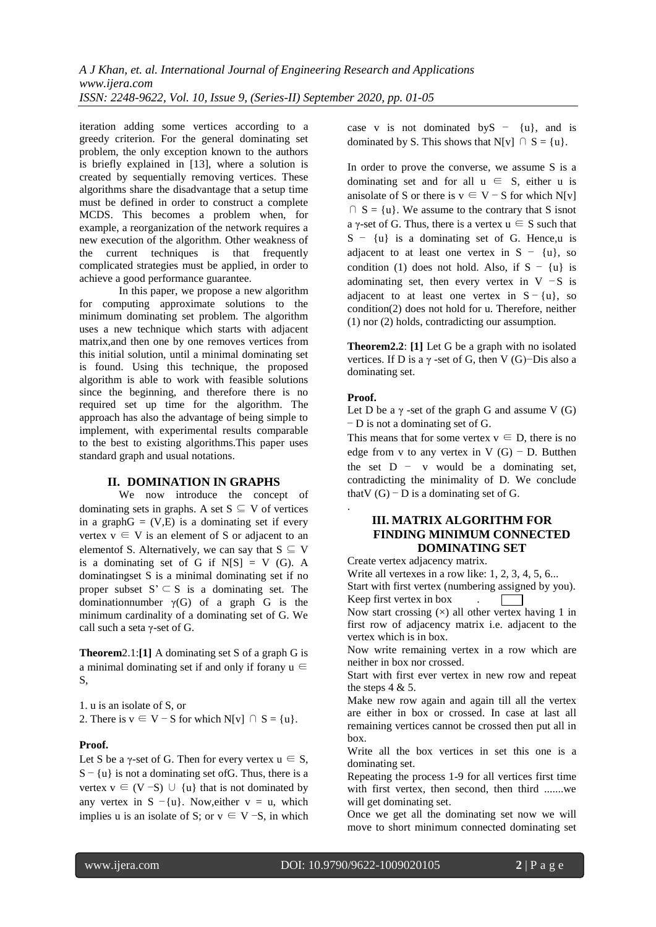iteration adding some vertices according to a greedy criterion. For the general dominating set problem, the only exception known to the authors is briefly explained in [13], where a solution is created by sequentially removing vertices. These algorithms share the disadvantage that a setup time must be defined in order to construct a complete MCDS. This becomes a problem when, for example, a reorganization of the network requires a new execution of the algorithm. Other weakness of the current techniques is that frequently complicated strategies must be applied, in order to achieve a good performance guarantee.

In this paper, we propose a new algorithm for computing approximate solutions to the minimum dominating set problem. The algorithm uses a new technique which starts with adjacent matrix,and then one by one removes vertices from this initial solution, until a minimal dominating set is found. Using this technique, the proposed algorithm is able to work with feasible solutions since the beginning, and therefore there is no required set up time for the algorithm. The approach has also the advantage of being simple to implement, with experimental results comparable to the best to existing algorithms.This paper uses standard graph and usual notations.

## **II. DOMINATION IN GRAPHS**

We now introduce the concept of dominating sets in graphs. A set  $S \subseteq V$  of vertices in a graph $G = (V,E)$  is a dominating set if every vertex  $v \in V$  is an element of S or adjacent to an elementof S. Alternatively, we can say that  $S \subseteq V$ is a dominating set of G if  $N[S] = V(G)$ . A dominatingset S is a minimal dominating set if no proper subset  $S' \subseteq S$  is a dominating set. The dominationnumber  $\nu(G)$  of a graph G is the minimum cardinality of a dominating set of G. We call such a seta γ-set of G.

**Theorem**2.1:**[1]** A dominating set S of a graph G is a minimal dominating set if and only if forany  $u \in$ S,

1. u is an isolate of S, or

2. There is  $v \in V - S$  for which N[v]  $\cap S = \{u\}.$ 

## **Proof.**

Let S be a  $\gamma$ -set of G. Then for every vertex  $u \in S$ ,  $S - \{u\}$  is not a dominating set of G. Thus, there is a vertex  $v \in (V - S) \cup \{u\}$  that is not dominated by any vertex in  $S - \{u\}$ . Now, either  $v = u$ , which implies u is an isolate of S; or  $v \in V$  –S, in which case v is not dominated by  $S - \{u\}$ , and is dominated by S. This shows that N[v]  $\cap$  S = {u}.

In order to prove the converse, we assume S is a dominating set and for all  $u \in S$ , either u is anisolate of S or there is  $v \in V - S$  for which N[v]  $\cap$  S = {u}. We assume to the contrary that S isnot a γ-set of G. Thus, there is a vertex  $u \in S$  such that S − {u} is a dominating set of G. Hence,u is adjacent to at least one vertex in  $S - \{u\}$ , so condition (1) does not hold. Also, if  $S - \{u\}$  is adominating set, then every vertex in V  $-S$  is adjacent to at least one vertex in  $S - \{u\}$ , so condition(2) does not hold for u. Therefore, neither (1) nor (2) holds, contradicting our assumption.

**Theorem2.2**: **[1]** Let G be a graph with no isolated vertices. If D is a  $\gamma$  -set of G, then V (G)–Dis also a dominating set.

## **Proof.**

.

Let D be a  $\gamma$  -set of the graph G and assume V (G) − D is not a dominating set of G.

This means that for some vertex  $v \in D$ , there is no edge from v to any vertex in V  $(G)$  – D. Butthen the set  $D - v$  would be a dominating set, contradicting the minimality of D. We conclude thatV  $(G)$  − D is a dominating set of G.

## **III. MATRIX ALGORITHM FOR FINDING MINIMUM CONNECTED DOMINATING SET**

Create vertex adjacency matrix.

Write all vertexes in a row like: 1, 2, 3, 4, 5, 6... Start with first vertex (numbering assigned by you). Keep first vertex in box .

 $\overline{\phantom{a}}$ Now start crossing  $(x)$  all other vertex having 1 in first row of adjacency matrix i.e. adjacent to the vertex which is in box.

Now write remaining vertex in a row which are neither in box nor crossed.

Start with first ever vertex in new row and repeat the steps  $4 & 5$ .

Make new row again and again till all the vertex are either in box or crossed. In case at last all remaining vertices cannot be crossed then put all in box.

Write all the box vertices in set this one is a dominating set.

Repeating the process 1-9 for all vertices first time with first vertex, then second, then third .......we will get dominating set.

Once we get all the dominating set now we will move to short minimum connected dominating set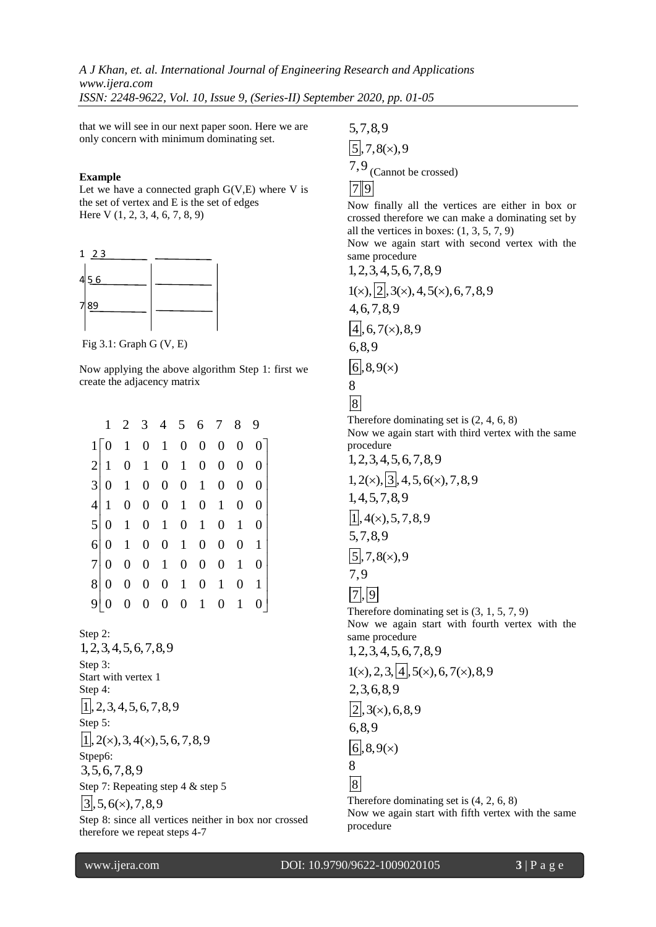*A J Khan, et. al. International Journal of Engineering Research and Applications www.ijera.com ISSN: 2248-9622, Vol. 10, Issue 9, (Series-II) September 2020, pp. 01-05*

that we will see in our next paper soon. Here we are only concern with minimum dominating set.

#### **Example**

Let we have a connected graph  $G(V,E)$  where V is the set of vertex and E is the set of edges Here V (1, 2, 3, 4, 6, 7, 8, 9)



Fig 3.1: Graph G (V, E)

Now applying the above algorithm Step 1: first we create the adjacency matrix

|                                                |                     |  |  | $\mathbf{0}$                                                                                                                            | 0 <sup>1</sup>                                                                                                                                                                                                                                                             |
|------------------------------------------------|---------------------|--|--|-----------------------------------------------------------------------------------------------------------------------------------------|----------------------------------------------------------------------------------------------------------------------------------------------------------------------------------------------------------------------------------------------------------------------------|
|                                                |                     |  |  | $\overline{0}$                                                                                                                          | $\theta$                                                                                                                                                                                                                                                                   |
|                                                |                     |  |  | $\overline{0}$                                                                                                                          | 0                                                                                                                                                                                                                                                                          |
|                                                |                     |  |  | $\boldsymbol{0}$                                                                                                                        | 0                                                                                                                                                                                                                                                                          |
|                                                |                     |  |  |                                                                                                                                         | 0                                                                                                                                                                                                                                                                          |
|                                                |                     |  |  |                                                                                                                                         | 0 <sub>1</sub>                                                                                                                                                                                                                                                             |
|                                                |                     |  |  | $\mathbf{1}$                                                                                                                            | 0                                                                                                                                                                                                                                                                          |
|                                                |                     |  |  |                                                                                                                                         | 0 <sub>1</sub>                                                                                                                                                                                                                                                             |
|                                                |                     |  |  |                                                                                                                                         | 0                                                                                                                                                                                                                                                                          |
| $\left 2\right $<br> 4 <br>$6\vert$<br>7 <br>8 | 1<br>$\overline{0}$ |  |  | $1 \t0 \t1 \t0 \t1 \t0$<br>$3 0 \t1 \t0 \t0 \t0 \t1$<br>$5 0 \t1 \t0 \t1 \t0 \t1$<br>$0 \t1 \t0 \t0 \t1 \t0$<br>$0 \t0 \t0 \t0 \t1 \t0$ | 2 3 4 5 6 7 8 9<br>$1\begin{bmatrix} 0 & 1 & 0 & 1 & 0 & 0 & 0 \end{bmatrix}$<br>$\overline{0}$<br>$\overline{0}$<br>$1 \t0 \t0 \t0 \t1 \t0 \t1$<br>$0 \quad 1$<br>$\overline{0}$<br>$0 \t0 \t1 \t0 \t0 \t0$<br>1<br>$0 \t0 \t0 \t0 \t1$<br>$\overline{0}$<br>$\mathbf{1}$ |

Step 2: 1,2,3,4,5,6,7,8,9 Step 3: Start with vertex 1 Step 4:  $|1|$ , 2, 3, 4, 5, 6, 7, 8, 9 Step 5:  $|1|, 2(\times), 3, 4(\times), 5, 6, 7, 8, 9$ Stpep<sub>6</sub>: 3,5,6,7,8,9 Step 7: Repeating step 4 & step 5  $|3, 5, 6(x), 7, 8, 9$ 

Step 8: since all vertices neither in box nor crossed therefore we repeat steps 4-7

5,7,8,9  $\sqrt{5}$ , 7, 8(x), 9 7,9 (Cannot be crossed)  $\overline{2}$  9

Now finally all the vertices are either in box or crossed therefore we can make a dominating set by all the vertices in boxes:  $(1, 3, 5, 7, 9)$ 

Now we again start with second vertex with the same procedure<br> $1.2.3.4.5 \leq 7.8.8$ 

1,2,3,4,5,6,7,8,9 1( ), 2 ,3( ),4,5( ),6,7,8,9 4,6,7,8,9 4 ,6,7( ),8,9 6,8,9 6 ,8,9( ) 8 8 Therefore dominating set is (2, 4, 6, 8)

Now we again start with third vertex with the same procedure

 $1, 2, 3, 4, 5, 6, 7, 8, 9$ <br> $1, 2(\times), \boxed{3}, 4, 5, 6(\times), 7, 8, 9$ 

1,4,5,7,8,9

 $\sqrt{1}$ , 4(x), 5, 7, 8, 9

5,7,8,9

 $\overline{[5]}, 7, 8(x), 9$ 

$$
7,9
$$

 $|7|, |9|$ 

Therefore dominating set is (3, 1, 5, 7, 9) Now we again start with fourth vertex with the same procedure

 $1,2,3,4,5,6,7,8,9$ <br> $1(x),2,3,4,5(x),6,7(x),8,9$ 2,3,6,8,9

 $\sqrt{2}$ , 3(x), 6, 8, 9

6,8,9

 $|6|, 8, 9(x)$ 

8

8

Therefore dominating set is (4, 2, 6, 8) Now we again start with fifth vertex with the same procedure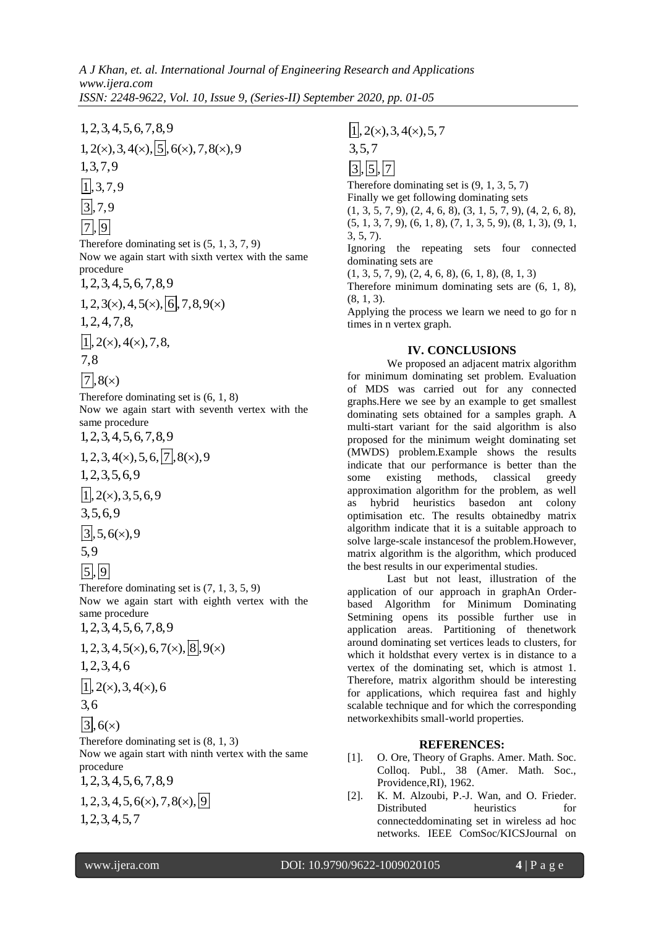1, 2,3,4,5,6,7,8,9<br>
1, 2(x), 3, 4(x),  $\boxed{5}$ , 6(x), 7, 8(x), 9<br>
1, 3,7,9<br>  $\boxed{1}$ , 3,7,9<br>  $\boxed{1}$ , 9<br>  $\boxed{3}$ , 7,9<br>
Therefore dominating set is (5, 1, 3, 7<br>
Now we again start with sixth vertex<br>
1, 2, 3, 4, 5, 6, 7, 8, 9

$$
\frac{1}{3}
$$
, 7, 9

$$
\overline{7}
$$
,  $\overline{9}$ 

Therefore dominating set is (5, 1, 3, 7, 9) Now we again start with sixth vertex with the same procedure

 $1,2,3,4,5,6,7,8,9$ <br> $1,2,3(x),4,5(x), 6,7,8,9(x)$ 

1,2,4,7,8,

 $\sqrt{1}$ , 2(x), 4(x), 7, 8,

$$
7,8
$$

 $\sqrt{7}$ , 8( $\times$ )

Therefore dominating set is (6, 1, 8)

Now we again start with seventh vertex with the same procedure

 $1, 2, 3, 4, 5, 6, 7, 8, 9$ 

$$
1, 2, 3, 4(x), 5, 6, |7|, 8(x), 9
$$

1,2,3,5,6,9

 $\overline{1}$ , 2(x), 3, 5, 6, 9

$$
3,5,6,9
$$

 $\sqrt{3}$ , 5, 6(x), 9

$$
5,9
$$

 $|5|, 9|$ 

Therefore dominating set is (7, 1, 3, 5, 9) Now we again start with eighth vertex with the same procedure

 $1,2,3,4,5,6,7,8,9$ 

$$
1,2,3,4,6
$$

$$
[1], 2(x), 3, 4(x), 6
$$

$$
3, 6
$$

$$
\boxed{3}
$$
, 6(x)

Therefore dominating set is (8, 1, 3)

Now we again start with ninth vertex with the same procedure

 $1, 2, 3, 4, 5, 6, 7, 8, 9$ 

$$
1, 2, 3, 4, 5, 6(x), 7, 8(x), 9
$$
  

$$
1, 2, 3, 4, 5, 7
$$

Therefore dominating set is (9, 1, 3, 5, 7) Finally we get following dominating sets  $(1, 3, 5, 7, 9), (2, 4, 6, 8), (3, 1, 5, 7, 9), (4, 2, 6, 8),$  $(5, 1, 3, 7, 9), (6, 1, 8), (7, 1, 3, 5, 9), (8, 1, 3), (9, 1,$ 3, 5, 7). Ignoring the repeating sets four connected dominating sets are  $(1, 3, 5, 7, 9), (2, 4, 6, 8), (6, 1, 8), (8, 1, 3)$ 

Therefore minimum dominating sets are (6, 1, 8),  $(8, 1, 3)$ .

Applying the process we learn we need to go for n times in n vertex graph.

# **IV. CONCLUSIONS**

1,2,3,4,5,6,7,8,9<br>
1,2,2,3,4(x),5,7<br>
1,2,2,0,3,4(x),5,7<br>
1,2,7,9<br>
1,3,7,9<br>
1,3,7,9<br>
1,3,7,9<br>
1,3,7,9<br>
1,3,7,9<br>
1,3,7,9<br>
1,3,7,9<br>
1,3,7,9<br>
1,3,7,9<br>
1,3,1,8,6,7,8,8<br>
Neuraling section of the same<br>
Neuraling section of the s We proposed an adjacent matrix algorithm for minimum dominating set problem. Evaluation of MDS was carried out for any connected graphs.Here we see by an example to get smallest dominating sets obtained for a samples graph. A multi-start variant for the said algorithm is also proposed for the minimum weight dominating set (MWDS) problem.Example shows the results indicate that our performance is better than the some existing methods, classical greedy approximation algorithm for the problem, as well as hybrid heuristics basedon ant colony optimisation etc. The results obtainedby matrix algorithm indicate that it is a suitable approach to solve large-scale instancesof the problem.However, matrix algorithm is the algorithm, which produced the best results in our experimental studies.

Last but not least, illustration of the application of our approach in graphAn Orderbased Algorithm for Minimum Dominating Setmining opens its possible further use in application areas. Partitioning of thenetwork around dominating set vertices leads to clusters, for which it holdsthat every vertex is in distance to a vertex of the dominating set, which is atmost 1. Therefore, matrix algorithm should be interesting for applications, which requirea fast and highly scalable technique and for which the corresponding networkexhibits small-world properties.

## **REFERENCES:**

- [1]. O. Ore, Theory of Graphs. Amer. Math. Soc. Colloq. Publ., 38 (Amer. Math. Soc., Providence,RI), 1962.
- [2]. K. M. Alzoubi, P.-J. Wan, and O. Frieder. Distributed heuristics for connecteddominating set in wireless ad hoc networks. IEEE ComSoc/KICSJournal on